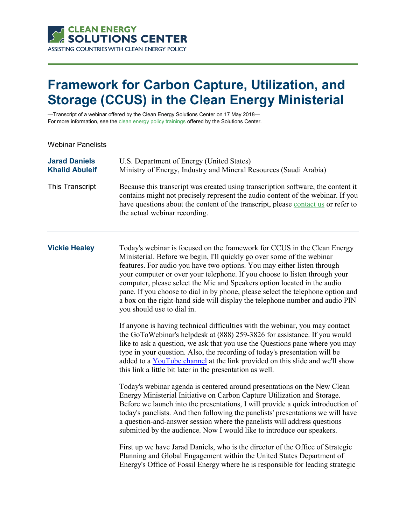

# **Framework for Carbon Capture, Utilization, and Storage (CCUS) in the Clean Energy Ministerial**

—Transcript of a webinar offered by the Clean Energy Solutions Center on 17 May 2018— For more information, see th[e clean energy policy trainings](https://cleanenergysolutions.org/training) offered by the Solutions Center.

Webinar Panelists

| <b>Jarad Daniels</b>  | U.S. Department of Energy (United States)                                                                                                                                                                                                                                                 |
|-----------------------|-------------------------------------------------------------------------------------------------------------------------------------------------------------------------------------------------------------------------------------------------------------------------------------------|
| <b>Khalid Abuleif</b> | Ministry of Energy, Industry and Mineral Resources (Saudi Arabia)                                                                                                                                                                                                                         |
| This Transcript       | Because this transcript was created using transcription software, the content it<br>contains might not precisely represent the audio content of the webinar. If you<br>have questions about the content of the transcript, please contact us or refer to<br>the actual webinar recording. |

**Vickie Healey** Today's webinar is focused on the framework for CCUS in the Clean Energy Ministerial. Before we begin, I'll quickly go over some of the webinar features. For audio you have two options. You may either listen through your computer or over your telephone. If you choose to listen through your computer, please select the Mic and Speakers option located in the audio pane. If you choose to dial in by phone, please select the telephone option and a box on the right-hand side will display the telephone number and audio PIN you should use to dial in.

> If anyone is having technical difficulties with the webinar, you may contact the GoToWebinar's helpdesk at (888) 259-3826 for assistance. If you would like to ask a question, we ask that you use the Questions pane where you may type in your question. Also, the recording of today's presentation will be added to a [YouTube channel](https://www.youtube.com/user/cleanenergypolicy) at the link provided on this slide and we'll show this link a little bit later in the presentation as well.

> Today's webinar agenda is centered around presentations on the New Clean Energy Ministerial Initiative on Carbon Capture Utilization and Storage. Before we launch into the presentations, I will provide a quick introduction of today's panelists. And then following the panelists' presentations we will have a question-and-answer session where the panelists will address questions submitted by the audience. Now I would like to introduce our speakers.

> First up we have Jarad Daniels, who is the director of the Office of Strategic Planning and Global Engagement within the United States Department of Energy's Office of Fossil Energy where he is responsible for leading strategic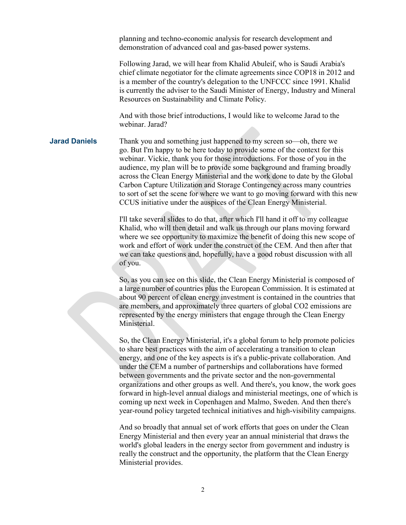planning and techno-economic analysis for research development and demonstration of advanced coal and gas-based power systems.

Following Jarad, we will hear from Khalid Abuleif, who is Saudi Arabia's chief climate negotiator for the climate agreements since COP18 in 2012 and is a member of the country's delegation to the UNFCCC since 1991. Khalid is currently the adviser to the Saudi Minister of Energy, Industry and Mineral Resources on Sustainability and Climate Policy.

And with those brief introductions, I would like to welcome Jarad to the webinar. Jarad?

**Jarad Daniels** Thank you and something just happened to my screen so—oh, there we go. But I'm happy to be here today to provide some of the context for this webinar. Vickie, thank you for those introductions. For those of you in the audience, my plan will be to provide some background and framing broadly across the Clean Energy Ministerial and the work done to date by the Global Carbon Capture Utilization and Storage Contingency across many countries to sort of set the scene for where we want to go moving forward with this new CCUS initiative under the auspices of the Clean Energy Ministerial.

> I'll take several slides to do that, after which I'll hand it off to my colleague Khalid, who will then detail and walk us through our plans moving forward where we see opportunity to maximize the benefit of doing this new scope of work and effort of work under the construct of the CEM. And then after that we can take questions and, hopefully, have a good robust discussion with all of you.

> So, as you can see on this slide, the Clean Energy Ministerial is composed of a large number of countries plus the European Commission. It is estimated at about 90 percent of clean energy investment is contained in the countries that are members, and approximately three quarters of global CO2 emissions are represented by the energy ministers that engage through the Clean Energy Ministerial.

So, the Clean Energy Ministerial, it's a global forum to help promote policies to share best practices with the aim of accelerating a transition to clean energy, and one of the key aspects is it's a public-private collaboration. And under the CEM a number of partnerships and collaborations have formed between governments and the private sector and the non-governmental organizations and other groups as well. And there's, you know, the work goes forward in high-level annual dialogs and ministerial meetings, one of which is coming up next week in Copenhagen and Malmo, Sweden. And then there's year-round policy targeted technical initiatives and high-visibility campaigns.

And so broadly that annual set of work efforts that goes on under the Clean Energy Ministerial and then every year an annual ministerial that draws the world's global leaders in the energy sector from government and industry is really the construct and the opportunity, the platform that the Clean Energy Ministerial provides.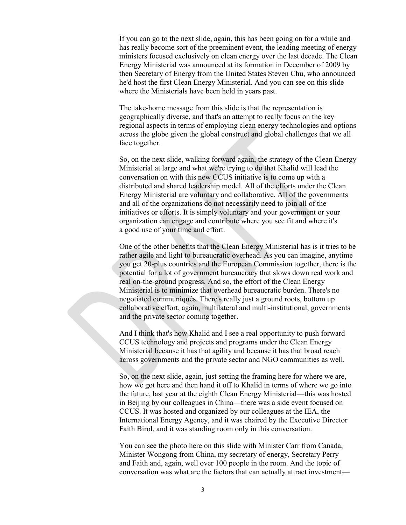If you can go to the next slide, again, this has been going on for a while and has really become sort of the preeminent event, the leading meeting of energy ministers focused exclusively on clean energy over the last decade. The Clean Energy Ministerial was announced at its formation in December of 2009 by then Secretary of Energy from the United States Steven Chu, who announced he'd host the first Clean Energy Ministerial. And you can see on this slide where the Ministerials have been held in years past.

The take-home message from this slide is that the representation is geographically diverse, and that's an attempt to really focus on the key regional aspects in terms of employing clean energy technologies and options across the globe given the global construct and global challenges that we all face together.

So, on the next slide, walking forward again, the strategy of the Clean Energy Ministerial at large and what we're trying to do that Khalid will lead the conversation on with this new CCUS initiative is to come up with a distributed and shared leadership model. All of the efforts under the Clean Energy Ministerial are voluntary and collaborative. All of the governments and all of the organizations do not necessarily need to join all of the initiatives or efforts. It is simply voluntary and your government or your organization can engage and contribute where you see fit and where it's a good use of your time and effort.

One of the other benefits that the Clean Energy Ministerial has is it tries to be rather agile and light to bureaucratic overhead. As you can imagine, anytime you get 20-plus countries and the European Commission together, there is the potential for a lot of government bureaucracy that slows down real work and real on-the-ground progress. And so, the effort of the Clean Energy Ministerial is to minimize that overhead bureaucratic burden. There's no negotiated communiqués. There's really just a ground roots, bottom up collaborative effort, again, multilateral and multi-institutional, governments and the private sector coming together.

And I think that's how Khalid and I see a real opportunity to push forward CCUS technology and projects and programs under the Clean Energy Ministerial because it has that agility and because it has that broad reach across governments and the private sector and NGO communities as well.

So, on the next slide, again, just setting the framing here for where we are, how we got here and then hand it off to Khalid in terms of where we go into the future, last year at the eighth Clean Energy Ministerial—this was hosted in Beijing by our colleagues in China—there was a side event focused on CCUS. It was hosted and organized by our colleagues at the IEA, the International Energy Agency, and it was chaired by the Executive Director Faith Birol, and it was standing room only in this conversation.

You can see the photo here on this slide with Minister Carr from Canada, Minister Wongong from China, my secretary of energy, Secretary Perry and Faith and, again, well over 100 people in the room. And the topic of conversation was what are the factors that can actually attract investment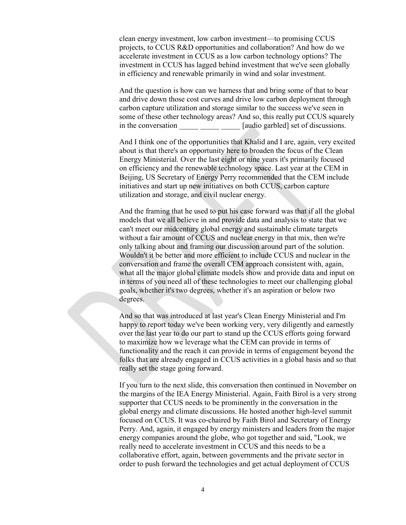clean energy investment, low carbon investment—to promising CCUS projects, to CCUS R&D opportunities and collaboration? And how do we accelerate investment in CCUS as a low carbon technology options? The investment in CCUS has lagged behind investment that we've seen globally in efficiency and renewable primarily in wind and solar investment.

And the question is how can we harness that and bring some of that to bear and drive down those cost curves and drive low carbon deployment through carbon capture utilization and storage similar to the success we've seen in some of these other technology areas? And so, this really put CCUS squarely in the conversation [audio garbled] set of discussions.

And I think one of the opportunities that Khalid and I are, again, very excited about is that there's an opportunity here to broaden the focus of the Clean Energy Ministerial. Over the last eight or nine years it's primarily focused on efficiency and the renewable technology space. Last year at the CEM in Beijing, US Secretary of Energy Perry recommended that the CEM include initiatives and start up new initiatives on both CCUS, carbon capture utilization and storage, and civil nuclear energy.

And the framing that he used to put his case forward was that if all the global models that we all believe in and provide data and analysis to state that we can't meet our midcentury global energy and sustainable climate targets without a fair amount of CCUS and nuclear energy in that mix, then we're only talking about and framing our discussion around part of the solution. Wouldn't it be better and more efficient to include CCUS and nuclear in the conversation and frame the overall CEM approach consistent with, again, what all the major global climate models show and provide data and input on in terms of you need all of these technologies to meet our challenging global goals, whether it's two degrees, whether it's an aspiration or below two degrees.

And so that was introduced at last year's Clean Energy Ministerial and I'm happy to report today we've been working very, very diligently and earnestly over the last year to do our part to stand up the CCUS efforts going forward to maximize how we leverage what the CEM can provide in terms of functionality and the reach it can provide in terms of engagement beyond the folks that are already engaged in CCUS activities in a global basis and so that really set the stage going forward.

If you turn to the next slide, this conversation then continued in November on the margins of the IEA Energy Ministerial. Again, Faith Birol is a very strong supporter that CCUS needs to be prominently in the conversation in the global energy and climate discussions. He hosted another high-level summit focused on CCUS. It was co-chaired by Faith Birol and Secretary of Energy Perry. And, again, it engaged by energy ministers and leaders from the major energy companies around the globe, who got together and said, "Look, we really need to accelerate investment in CCUS and this needs to be a collaborative effort, again, between governments and the private sector in order to push forward the technologies and get actual deployment of CCUS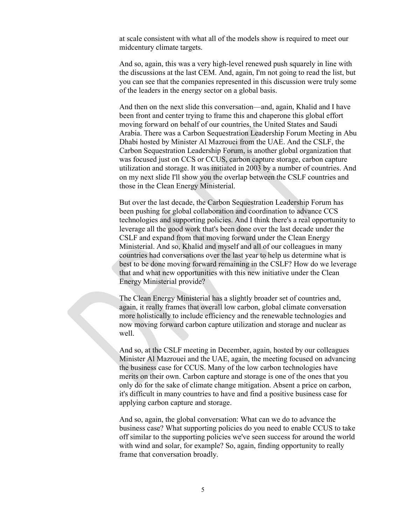at scale consistent with what all of the models show is required to meet our midcentury climate targets.

And so, again, this was a very high-level renewed push squarely in line with the discussions at the last CEM. And, again, I'm not going to read the list, but you can see that the companies represented in this discussion were truly some of the leaders in the energy sector on a global basis.

And then on the next slide this conversation—and, again, Khalid and I have been front and center trying to frame this and chaperone this global effort moving forward on behalf of our countries, the United States and Saudi Arabia. There was a Carbon Sequestration Leadership Forum Meeting in Abu Dhabi hosted by Minister Al Mazrouei from the UAE. And the CSLF, the Carbon Sequestration Leadership Forum, is another global organization that was focused just on CCS or CCUS, carbon capture storage, carbon capture utilization and storage. It was initiated in 2003 by a number of countries. And on my next slide I'll show you the overlap between the CSLF countries and those in the Clean Energy Ministerial.

But over the last decade, the Carbon Sequestration Leadership Forum has been pushing for global collaboration and coordination to advance CCS technologies and supporting policies. And I think there's a real opportunity to leverage all the good work that's been done over the last decade under the CSLF and expand from that moving forward under the Clean Energy Ministerial. And so, Khalid and myself and all of our colleagues in many countries had conversations over the last year to help us determine what is best to be done moving forward remaining in the CSLF? How do we leverage that and what new opportunities with this new initiative under the Clean Energy Ministerial provide?

The Clean Energy Ministerial has a slightly broader set of countries and, again, it really frames that overall low carbon, global climate conversation more holistically to include efficiency and the renewable technologies and now moving forward carbon capture utilization and storage and nuclear as well.

And so, at the CSLF meeting in December, again, hosted by our colleagues Minister Al Mazrouei and the UAE, again, the meeting focused on advancing the business case for CCUS. Many of the low carbon technologies have merits on their own. Carbon capture and storage is one of the ones that you only do for the sake of climate change mitigation. Absent a price on carbon, it's difficult in many countries to have and find a positive business case for applying carbon capture and storage.

And so, again, the global conversation: What can we do to advance the business case? What supporting policies do you need to enable CCUS to take off similar to the supporting policies we've seen success for around the world with wind and solar, for example? So, again, finding opportunity to really frame that conversation broadly.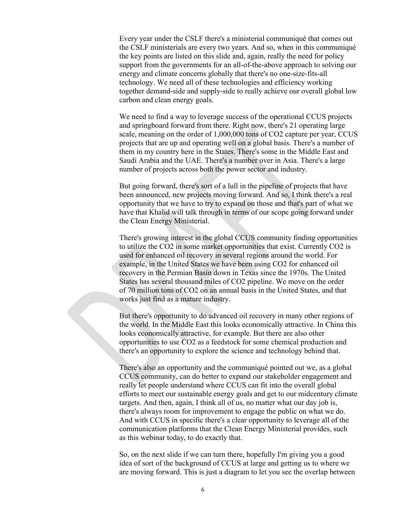Every year under the CSLF there's a ministerial communiqué that comes out the CSLF ministerials are every two years. And so, when in this communiqué the key points are listed on this slide and, again, really the need for policy support from the governments for an all-of-the-above approach to solving our energy and climate concerns globally that there's no one-size-fits-all technology. We need all of these technologies and efficiency working together demand-side and supply-side to really achieve our overall global low carbon and clean energy goals.

We need to find a way to leverage success of the operational CCUS projects and springboard forward from there. Right now, there's 21 operating large scale, meaning on the order of 1,000,000 tons of CO2 capture per year, CCUS projects that are up and operating well on a global basis. There's a number of them in my country here in the States. There's some in the Middle East and Saudi Arabia and the UAE. There's a number over in Asia. There's a large number of projects across both the power sector and industry.

But going forward, there's sort of a lull in the pipeline of projects that have been announced, new projects moving forward. And so, I think there's a real opportunity that we have to try to expand on those and that's part of what we have that Khalid will talk through in terms of our scope going forward under the Clean Energy Ministerial.

There's growing interest in the global CCUS community finding opportunities to utilize the CO2 in some market opportunities that exist. Currently CO2 is used for enhanced oil recovery in several regions around the world. For example, in the United States we have been using CO2 for enhanced oil recovery in the Permian Basin down in Texas since the 1970s. The United States has several thousand miles of CO2 pipeline. We move on the order of 70 million tons of CO2 on an annual basis in the United States, and that works just find as a mature industry.

But there's opportunity to do advanced oil recovery in many other regions of the world. In the Middle East this looks economically attractive. In China this looks economically attractive, for example. But there are also other opportunities to use CO2 as a feedstock for some chemical production and there's an opportunity to explore the science and technology behind that.

There's also an opportunity and the communiqué pointed out we, as a global CCUS community, can do better to expand our stakeholder engagement and really let people understand where CCUS can fit into the overall global efforts to meet our sustainable energy goals and get to our midcentury climate targets. And then, again, I think all of us, no matter what our day job is, there's always room for improvement to engage the public on what we do. And with CCUS in specific there's a clear opportunity to leverage all of the communication platforms that the Clean Energy Ministerial provides, such as this webinar today, to do exactly that.

So, on the next slide if we can turn there, hopefully I'm giving you a good idea of sort of the background of CCUS at large and getting us to where we are moving forward. This is just a diagram to let you see the overlap between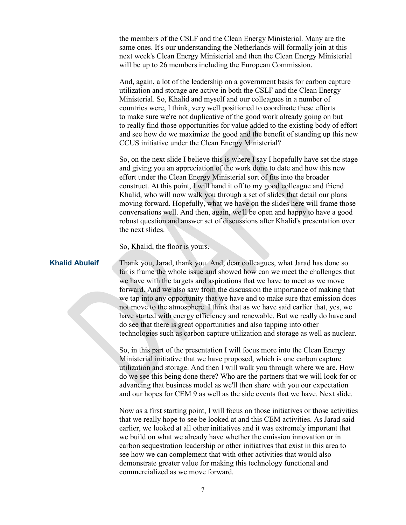the members of the CSLF and the Clean Energy Ministerial. Many are the same ones. It's our understanding the Netherlands will formally join at this next week's Clean Energy Ministerial and then the Clean Energy Ministerial will be up to 26 members including the European Commission.

And, again, a lot of the leadership on a government basis for carbon capture utilization and storage are active in both the CSLF and the Clean Energy Ministerial. So, Khalid and myself and our colleagues in a number of countries were, I think, very well positioned to coordinate these efforts to make sure we're not duplicative of the good work already going on but to really find those opportunities for value added to the existing body of effort and see how do we maximize the good and the benefit of standing up this new CCUS initiative under the Clean Energy Ministerial?

So, on the next slide I believe this is where I say I hopefully have set the stage and giving you an appreciation of the work done to date and how this new effort under the Clean Energy Ministerial sort of fits into the broader construct. At this point, I will hand it off to my good colleague and friend Khalid, who will now walk you through a set of slides that detail our plans moving forward. Hopefully, what we have on the slides here will frame those conversations well. And then, again, we'll be open and happy to have a good robust question and answer set of discussions after Khalid's presentation over the next slides.

So, Khalid, the floor is yours.

**Khalid Abuleif** Thank you, Jarad, thank you. And, dear colleagues, what Jarad has done so far is frame the whole issue and showed how can we meet the challenges that we have with the targets and aspirations that we have to meet as we move forward. And we also saw from the discussion the importance of making that we tap into any opportunity that we have and to make sure that emission does not move to the atmosphere. I think that as we have said earlier that, yes, we have started with energy efficiency and renewable. But we really do have and do see that there is great opportunities and also tapping into other technologies such as carbon capture utilization and storage as well as nuclear.

> So, in this part of the presentation I will focus more into the Clean Energy Ministerial initiative that we have proposed, which is one carbon capture utilization and storage. And then I will walk you through where we are. How do we see this being done there? Who are the partners that we will look for or advancing that business model as we'll then share with you our expectation and our hopes for CEM 9 as well as the side events that we have. Next slide.

> Now as a first starting point, I will focus on those initiatives or those activities that we really hope to see be looked at and this CEM activities. As Jarad said earlier, we looked at all other initiatives and it was extremely important that we build on what we already have whether the emission innovation or in carbon sequestration leadership or other initiatives that exist in this area to see how we can complement that with other activities that would also demonstrate greater value for making this technology functional and commercialized as we move forward.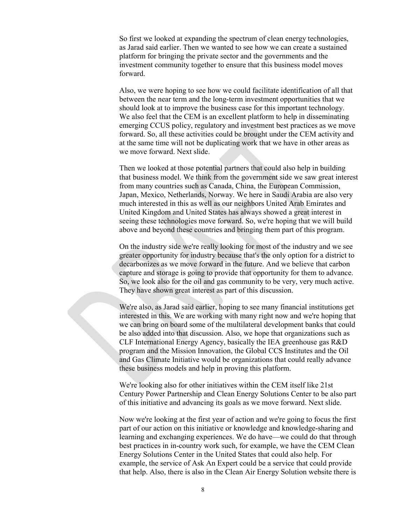So first we looked at expanding the spectrum of clean energy technologies, as Jarad said earlier. Then we wanted to see how we can create a sustained platform for bringing the private sector and the governments and the investment community together to ensure that this business model moves forward.

Also, we were hoping to see how we could facilitate identification of all that between the near term and the long-term investment opportunities that we should look at to improve the business case for this important technology. We also feel that the CEM is an excellent platform to help in disseminating emerging CCUS policy, regulatory and investment best practices as we move forward. So, all these activities could be brought under the CEM activity and at the same time will not be duplicating work that we have in other areas as we move forward. Next slide.

Then we looked at those potential partners that could also help in building that business model. We think from the government side we saw great interest from many countries such as Canada, China, the European Commission, Japan, Mexico, Netherlands, Norway. We here in Saudi Arabia are also very much interested in this as well as our neighbors United Arab Emirates and United Kingdom and United States has always showed a great interest in seeing these technologies move forward. So, we're hoping that we will build above and beyond these countries and bringing them part of this program.

On the industry side we're really looking for most of the industry and we see greater opportunity for industry because that's the only option for a district to decarbonizes as we move forward in the future. And we believe that carbon capture and storage is going to provide that opportunity for them to advance. So, we look also for the oil and gas community to be very, very much active. They have shown great interest as part of this discussion.

We're also, as Jarad said earlier, hoping to see many financial institutions get interested in this. We are working with many right now and we're hoping that we can bring on board some of the multilateral development banks that could be also added into that discussion. Also, we hope that organizations such as CLF International Energy Agency, basically the IEA greenhouse gas R&D program and the Mission Innovation, the Global CCS Institutes and the Oil and Gas Climate Initiative would be organizations that could really advance these business models and help in proving this platform.

We're looking also for other initiatives within the CEM itself like 21st Century Power Partnership and Clean Energy Solutions Center to be also part of this initiative and advancing its goals as we move forward. Next slide.

Now we're looking at the first year of action and we're going to focus the first part of our action on this initiative or knowledge and knowledge-sharing and learning and exchanging experiences. We do have—we could do that through best practices in in-country work such, for example, we have the CEM Clean Energy Solutions Center in the United States that could also help. For example, the service of Ask An Expert could be a service that could provide that help. Also, there is also in the Clean Air Energy Solution website there is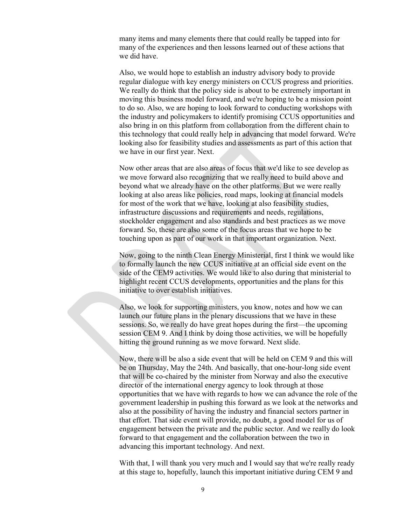many items and many elements there that could really be tapped into for many of the experiences and then lessons learned out of these actions that we did have.

Also, we would hope to establish an industry advisory body to provide regular dialogue with key energy ministers on CCUS progress and priorities. We really do think that the policy side is about to be extremely important in moving this business model forward, and we're hoping to be a mission point to do so. Also, we are hoping to look forward to conducting workshops with the industry and policymakers to identify promising CCUS opportunities and also bring in on this platform from collaboration from the different chain to this technology that could really help in advancing that model forward. We're looking also for feasibility studies and assessments as part of this action that we have in our first year. Next.

Now other areas that are also areas of focus that we'd like to see develop as we move forward also recognizing that we really need to build above and beyond what we already have on the other platforms. But we were really looking at also areas like policies, road maps, looking at financial models for most of the work that we have, looking at also feasibility studies, infrastructure discussions and requirements and needs, regulations, stockholder engagement and also standards and best practices as we move forward. So, these are also some of the focus areas that we hope to be touching upon as part of our work in that important organization. Next.

Now, going to the ninth Clean Energy Ministerial, first I think we would like to formally launch the new CCUS initiative at an official side event on the side of the CEM9 activities. We would like to also during that ministerial to highlight recent CCUS developments, opportunities and the plans for this initiative to over establish initiatives.

Also, we look for supporting ministers, you know, notes and how we can launch our future plans in the plenary discussions that we have in these sessions. So, we really do have great hopes during the first—the upcoming session CEM 9. And I think by doing those activities, we will be hopefully hitting the ground running as we move forward. Next slide.

Now, there will be also a side event that will be held on CEM 9 and this will be on Thursday, May the 24th. And basically, that one-hour-long side event that will be co-chaired by the minister from Norway and also the executive director of the international energy agency to look through at those opportunities that we have with regards to how we can advance the role of the government leadership in pushing this forward as we look at the networks and also at the possibility of having the industry and financial sectors partner in that effort. That side event will provide, no doubt, a good model for us of engagement between the private and the public sector. And we really do look forward to that engagement and the collaboration between the two in advancing this important technology. And next.

With that, I will thank you very much and I would say that we're really ready at this stage to, hopefully, launch this important initiative during CEM 9 and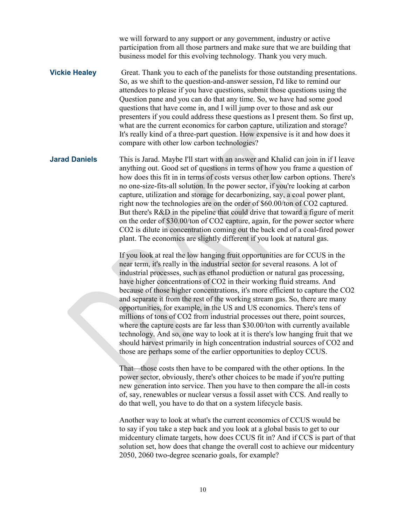we will forward to any support or any government, industry or active participation from all those partners and make sure that we are building that business model for this evolving technology. Thank you very much.

**Vickie Healey** Great. Thank you to each of the panelists for those outstanding presentations. So, as we shift to the question-and-answer session, I'd like to remind our attendees to please if you have questions, submit those questions using the Question pane and you can do that any time. So, we have had some good questions that have come in, and I will jump over to those and ask our presenters if you could address these questions as I present them. So first up, what are the current economics for carbon capture, utilization and storage? It's really kind of a three-part question. How expensive is it and how does it compare with other low carbon technologies?

**Jarad Daniels** This is Jarad. Maybe I'll start with an answer and Khalid can join in if I leave anything out. Good set of questions in terms of how you frame a question of how does this fit in in terms of costs versus other low carbon options. There's no one-size-fits-all solution. In the power sector, if you're looking at carbon capture, utilization and storage for decarbonizing, say, a coal power plant, right now the technologies are on the order of \$60.00/ton of CO2 captured. But there's R&D in the pipeline that could drive that toward a figure of merit on the order of \$30.00/ton of CO2 capture, again, for the power sector where CO2 is dilute in concentration coming out the back end of a coal-fired power plant. The economics are slightly different if you look at natural gas.

> If you look at real the low hanging fruit opportunities are for CCUS in the near term, it's really in the industrial sector for several reasons. A lot of industrial processes, such as ethanol production or natural gas processing, have higher concentrations of CO2 in their working fluid streams. And because of those higher concentrations, it's more efficient to capture the CO2 and separate it from the rest of the working stream gas. So, there are many opportunities, for example, in the US and US economics. There's tens of millions of tons of CO2 from industrial processes out there, point sources, where the capture costs are far less than \$30.00/ton with currently available technology. And so, one way to look at it is there's low hanging fruit that we should harvest primarily in high concentration industrial sources of CO2 and those are perhaps some of the earlier opportunities to deploy CCUS.

That—those costs then have to be compared with the other options. In the power sector, obviously, there's other choices to be made if you're putting new generation into service. Then you have to then compare the all-in costs of, say, renewables or nuclear versus a fossil asset with CCS. And really to do that well, you have to do that on a system lifecycle basis.

Another way to look at what's the current economics of CCUS would be to say if you take a step back and you look at a global basis to get to our midcentury climate targets, how does CCUS fit in? And if CCS is part of that solution set, how does that change the overall cost to achieve our midcentury 2050, 2060 two-degree scenario goals, for example?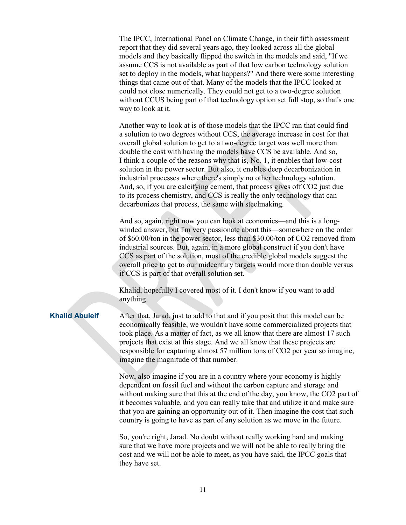The IPCC, International Panel on Climate Change, in their fifth assessment report that they did several years ago, they looked across all the global models and they basically flipped the switch in the models and said, "If we assume CCS is not available as part of that low carbon technology solution set to deploy in the models, what happens?" And there were some interesting things that came out of that. Many of the models that the IPCC looked at could not close numerically. They could not get to a two-degree solution without CCUS being part of that technology option set full stop, so that's one way to look at it.

Another way to look at is of those models that the IPCC ran that could find a solution to two degrees without CCS, the average increase in cost for that overall global solution to get to a two-degree target was well more than double the cost with having the models have CCS be available. And so, I think a couple of the reasons why that is, No. 1, it enables that low-cost solution in the power sector. But also, it enables deep decarbonization in industrial processes where there's simply no other technology solution. And, so, if you are calcifying cement, that process gives off CO2 just due to its process chemistry, and CCS is really the only technology that can decarbonizes that process, the same with steelmaking.

And so, again, right now you can look at economics—and this is a longwinded answer, but I'm very passionate about this—somewhere on the order of \$60.00/ton in the power sector, less than \$30.00/ton of CO2 removed from industrial sources. But, again, in a more global construct if you don't have CCS as part of the solution, most of the credible global models suggest the overall price to get to our midcentury targets would more than double versus if CCS is part of that overall solution set.

Khalid, hopefully I covered most of it. I don't know if you want to add anything.

**Khalid Abuleif** After that, Jarad, just to add to that and if you posit that this model can be economically feasible, we wouldn't have some commercialized projects that took place. As a matter of fact, as we all know that there are almost 17 such projects that exist at this stage. And we all know that these projects are responsible for capturing almost 57 million tons of CO2 per year so imagine, imagine the magnitude of that number.

> Now, also imagine if you are in a country where your economy is highly dependent on fossil fuel and without the carbon capture and storage and without making sure that this at the end of the day, you know, the CO2 part of it becomes valuable, and you can really take that and utilize it and make sure that you are gaining an opportunity out of it. Then imagine the cost that such country is going to have as part of any solution as we move in the future.

So, you're right, Jarad. No doubt without really working hard and making sure that we have more projects and we will not be able to really bring the cost and we will not be able to meet, as you have said, the IPCC goals that they have set.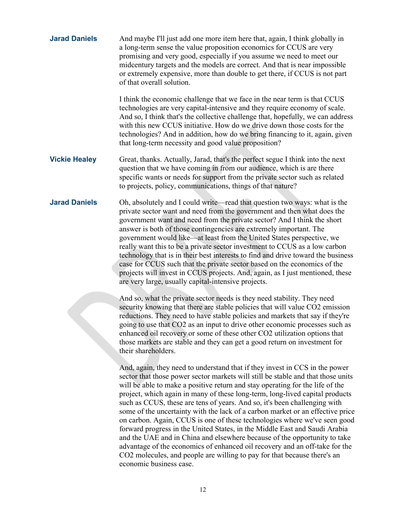| <b>Jarad Daniels</b> | And maybe I'll just add one more item here that, again, I think globally in<br>a long-term sense the value proposition economics for CCUS are very<br>promising and very good, especially if you assume we need to meet our<br>midcentury targets and the models are correct. And that is near impossible<br>or extremely expensive, more than double to get there, if CCUS is not part<br>of that overall solution.                                                                                                                                                                                                                                                                                                                                                                                                                                                                                                          |
|----------------------|-------------------------------------------------------------------------------------------------------------------------------------------------------------------------------------------------------------------------------------------------------------------------------------------------------------------------------------------------------------------------------------------------------------------------------------------------------------------------------------------------------------------------------------------------------------------------------------------------------------------------------------------------------------------------------------------------------------------------------------------------------------------------------------------------------------------------------------------------------------------------------------------------------------------------------|
|                      | I think the economic challenge that we face in the near term is that CCUS<br>technologies are very capital-intensive and they require economy of scale.<br>And so, I think that's the collective challenge that, hopefully, we can address<br>with this new CCUS initiative. How do we drive down those costs for the<br>technologies? And in addition, how do we bring financing to it, again, given<br>that long-term necessity and good value proposition?                                                                                                                                                                                                                                                                                                                                                                                                                                                                 |
| <b>Vickie Healey</b> | Great, thanks. Actually, Jarad, that's the perfect segue I think into the next<br>question that we have coming in from our audience, which is are there<br>specific wants or needs for support from the private sector such as related<br>to projects, policy, communications, things of that nature?                                                                                                                                                                                                                                                                                                                                                                                                                                                                                                                                                                                                                         |
| <b>Jarad Daniels</b> | Oh, absolutely and I could write—read that question two ways: what is the<br>private sector want and need from the government and then what does the<br>government want and need from the private sector? And I think the short<br>answer is both of those contingencies are extremely important. The<br>government would like—at least from the United States perspective, we<br>really want this to be a private sector investment to CCUS as a low carbon<br>technology that is in their best interests to find and drive toward the business<br>case for CCUS such that the private sector based on the economics of the<br>projects will invest in CCUS projects. And, again, as I just mentioned, these<br>are very large, usually capital-intensive projects.                                                                                                                                                          |
|                      | And so, what the private sector needs is they need stability. They need<br>security knowing that there are stable policies that will value CO2 emission<br>reductions. They need to have stable policies and markets that say if they're<br>going to use that CO2 as an input to drive other economic processes such as<br>enhanced oil recovery or some of these other CO2 utilization options that<br>those markets are stable and they can get a good return on investment for<br>their shareholders.                                                                                                                                                                                                                                                                                                                                                                                                                      |
|                      | And, again, they need to understand that if they invest in CCS in the power<br>sector that those power sector markets will still be stable and that those units<br>will be able to make a positive return and stay operating for the life of the<br>project, which again in many of these long-term, long-lived capital products<br>such as CCUS, these are tens of years. And so, it's been challenging with<br>some of the uncertainty with the lack of a carbon market or an effective price<br>on carbon. Again, CCUS is one of these technologies where we've seen good<br>forward progress in the United States, in the Middle East and Saudi Arabia<br>and the UAE and in China and elsewhere because of the opportunity to take<br>advantage of the economics of enhanced oil recovery and an off-take for the<br>CO2 molecules, and people are willing to pay for that because there's an<br>economic business case. |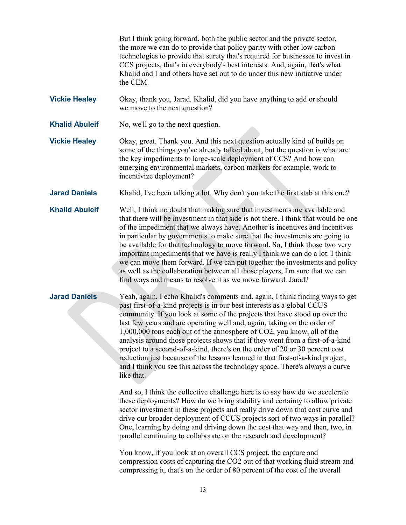But I think going forward, both the public sector and the private sector, the more we can do to provide that policy parity with other low carbon technologies to provide that surety that's required for businesses to invest in CCS projects, that's in everybody's best interests. And, again, that's what Khalid and I and others have set out to do under this new initiative under the CEM.

**Vickie Healey** Okay, thank you, Jarad. Khalid, did you have anything to add or should we move to the next question?

**Khalid Abuleif** No, we'll go to the next question.

**Vickie Healey** Okay, great. Thank you. And this next question actually kind of builds on some of the things you've already talked about, but the question is what are the key impediments to large-scale deployment of CCS? And how can emerging environmental markets, carbon markets for example, work to incentivize deployment?

**Jarad Daniels** Khalid, I've been talking a lot. Why don't you take the first stab at this one?

**Khalid Abuleif** Well, I think no doubt that making sure that investments are available and that there will be investment in that side is not there. I think that would be one of the impediment that we always have. Another is incentives and incentives in particular by governments to make sure that the investments are going to be available for that technology to move forward. So, I think those two very important impediments that we have is really I think we can do a lot. I think we can move them forward. If we can put together the investments and policy as well as the collaboration between all those players, I'm sure that we can find ways and means to resolve it as we move forward. Jarad?

**Jarad Daniels** Yeah, again, I echo Khalid's comments and, again, I think finding ways to get past first-of-a-kind projects is in our best interests as a global CCUS community. If you look at some of the projects that have stood up over the last few years and are operating well and, again, taking on the order of 1,000,000 tons each out of the atmosphere of CO2, you know, all of the analysis around those projects shows that if they went from a first-of-a-kind project to a second-of-a-kind, there's on the order of 20 or 30 percent cost reduction just because of the lessons learned in that first-of-a-kind project, and I think you see this across the technology space. There's always a curve like that.

> And so, I think the collective challenge here is to say how do we accelerate these deployments? How do we bring stability and certainty to allow private sector investment in these projects and really drive down that cost curve and drive our broader deployment of CCUS projects sort of two ways in parallel? One, learning by doing and driving down the cost that way and then, two, in parallel continuing to collaborate on the research and development?

> You know, if you look at an overall CCS project, the capture and compression costs of capturing the CO2 out of that working fluid stream and compressing it, that's on the order of 80 percent of the cost of the overall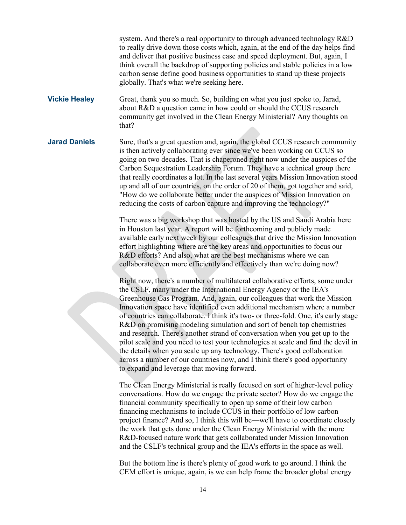system. And there's a real opportunity to through advanced technology R&D to really drive down those costs which, again, at the end of the day helps find and deliver that positive business case and speed deployment. But, again, I think overall the backdrop of supporting policies and stable policies in a low carbon sense define good business opportunities to stand up these projects globally. That's what we're seeking here.

**Vickie Healey** Great, thank you so much. So, building on what you just spoke to, Jarad, about R&D a question came in how could or should the CCUS research community get involved in the Clean Energy Ministerial? Any thoughts on that?

**Jarad Daniels** Sure, that's a great question and, again, the global CCUS research community is then actively collaborating ever since we've been working on CCUS so going on two decades. That is chaperoned right now under the auspices of the Carbon Sequestration Leadership Forum. They have a technical group there that really coordinates a lot. In the last several years Mission Innovation stood up and all of our countries, on the order of 20 of them, got together and said, "How do we collaborate better under the auspices of Mission Innovation on reducing the costs of carbon capture and improving the technology?"

> There was a big workshop that was hosted by the US and Saudi Arabia here in Houston last year. A report will be forthcoming and publicly made available early next week by our colleagues that drive the Mission Innovation effort highlighting where are the key areas and opportunities to focus our R&D efforts? And also, what are the best mechanisms where we can collaborate even more efficiently and effectively than we're doing now?

> Right now, there's a number of multilateral collaborative efforts, some under the CSLF, many under the International Energy Agency or the IEA's Greenhouse Gas Program. And, again, our colleagues that work the Mission Innovation space have identified even additional mechanism where a number of countries can collaborate. I think it's two- or three-fold. One, it's early stage R&D on promising modeling simulation and sort of bench top chemistries and research. There's another strand of conversation when you get up to the pilot scale and you need to test your technologies at scale and find the devil in the details when you scale up any technology. There's good collaboration across a number of our countries now, and I think there's good opportunity to expand and leverage that moving forward.

The Clean Energy Ministerial is really focused on sort of higher-level policy conversations. How do we engage the private sector? How do we engage the financial community specifically to open up some of their low carbon financing mechanisms to include CCUS in their portfolio of low carbon project finance? And so, I think this will be—we'll have to coordinate closely the work that gets done under the Clean Energy Ministerial with the more R&D-focused nature work that gets collaborated under Mission Innovation and the CSLF's technical group and the IEA's efforts in the space as well.

But the bottom line is there's plenty of good work to go around. I think the CEM effort is unique, again, is we can help frame the broader global energy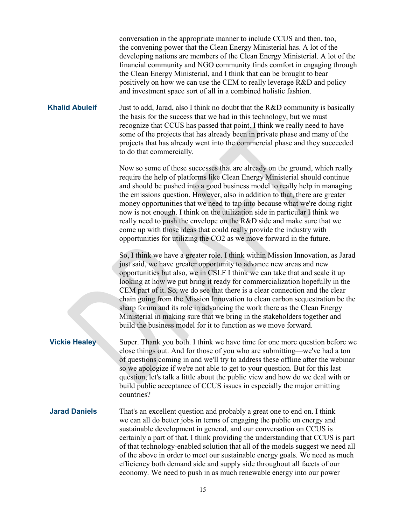conversation in the appropriate manner to include CCUS and then, too, the convening power that the Clean Energy Ministerial has. A lot of the developing nations are members of the Clean Energy Ministerial. A lot of the financial community and NGO community finds comfort in engaging through the Clean Energy Ministerial, and I think that can be brought to bear positively on how we can use the CEM to really leverage R&D and policy and investment space sort of all in a combined holistic fashion.

**Khalid Abuleif** Just to add, Jarad, also I think no doubt that the R&D community is basically the basis for the success that we had in this technology, but we must recognize that CCUS has passed that point. I think we really need to have some of the projects that has already been in private phase and many of the projects that has already went into the commercial phase and they succeeded to do that commercially.

> Now so some of these successes that are already on the ground, which really require the help of platforms like Clean Energy Ministerial should continue and should be pushed into a good business model to really help in managing the emissions question. However, also in addition to that, there are greater money opportunities that we need to tap into because what we're doing right now is not enough. I think on the utilization side in particular I think we really need to push the envelope on the R&D side and make sure that we come up with those ideas that could really provide the industry with opportunities for utilizing the CO2 as we move forward in the future.

So, I think we have a greater role. I think within Mission Innovation, as Jarad just said, we have greater opportunity to advance new areas and new opportunities but also, we in CSLF I think we can take that and scale it up looking at how we put bring it ready for commercialization hopefully in the CEM part of it. So, we do see that there is a clear connection and the clear chain going from the Mission Innovation to clean carbon sequestration be the sharp forum and its role in advancing the work there as the Clean Energy Ministerial in making sure that we bring in the stakeholders together and build the business model for it to function as we move forward.

**Vickie Healey** Super. Thank you both. I think we have time for one more question before we close things out. And for those of you who are submitting—we've had a ton of questions coming in and we'll try to address these offline after the webinar so we apologize if we're not able to get to your question. But for this last question, let's talk a little about the public view and how do we deal with or build public acceptance of CCUS issues in especially the major emitting countries?

**Jarad Daniels** That's an excellent question and probably a great one to end on. I think we can all do better jobs in terms of engaging the public on energy and sustainable development in general, and our conversation on CCUS is certainly a part of that. I think providing the understanding that CCUS is part of that technology-enabled solution that all of the models suggest we need all of the above in order to meet our sustainable energy goals. We need as much efficiency both demand side and supply side throughout all facets of our economy. We need to push in as much renewable energy into our power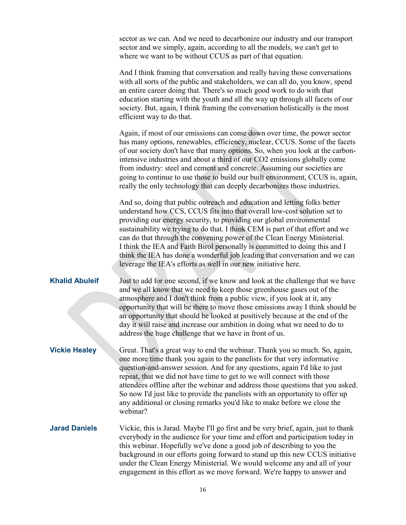sector as we can. And we need to decarbonize our industry and our transport sector and we simply, again, according to all the models, we can't get to where we want to be without CCUS as part of that equation.

And I think framing that conversation and really having those conversations with all sorts of the public and stakeholders, we can all do, you know, spend an entire career doing that. There's so much good work to do with that education starting with the youth and all the way up through all facets of our society. But, again, I think framing the conversation holistically is the most efficient way to do that.

Again, if most of our emissions can come down over time, the power sector has many options, renewables, efficiency, nuclear, CCUS. Some of the facets of our society don't have that many options. So, when you look at the carbonintensive industries and about a third of our CO2 emissions globally come from industry: steel and cement and concrete. Assuming our societies are going to continue to use those to build our built environment, CCUS is, again, really the only technology that can deeply decarbonizes those industries.

And so, doing that public outreach and education and letting folks better understand how CCS, CCUS fits into that overall low-cost solution set to providing our energy security, to providing our global environmental sustainability we trying to do that. I think CEM is part of that effort and we can do that through the convening power of the Clean Energy Ministerial. I think the IEA and Faith Birol personally is committed to doing this and I think the IEA has done a wonderful job leading that conversation and we can leverage the IEA's efforts as well in our new initiative here.

**Khalid Abuleif** Just to add for one second, if we know and look at the challenge that we have and we all know that we need to keep those greenhouse gases out of the atmosphere and I don't think from a public view, if you look at it, any opportunity that will be there to move those emissions away I think should be an opportunity that should be looked at positively because at the end of the day it will raise and increase our ambition in doing what we need to do to address the huge challenge that we have in front of us.

**Vickie Healey** Great. That's a great way to end the webinar. Thank you so much. So, again, one more time thank you again to the panelists for that very informative question-and-answer session. And for any questions, again I'd like to just repeat, that we did not have time to get to we will connect with those attendees offline after the webinar and address those questions that you asked. So now I'd just like to provide the panelists with an opportunity to offer up any additional or closing remarks you'd like to make before we close the webinar?

## **Jarad Daniels** Vickie, this is Jarad. Maybe I'll go first and be very brief, again, just to thank everybody in the audience for your time and effort and participation today in this webinar. Hopefully we've done a good job of describing to you the background in our efforts going forward to stand up this new CCUS initiative under the Clean Energy Ministerial. We would welcome any and all of your engagement in this effort as we move forward. We're happy to answer and